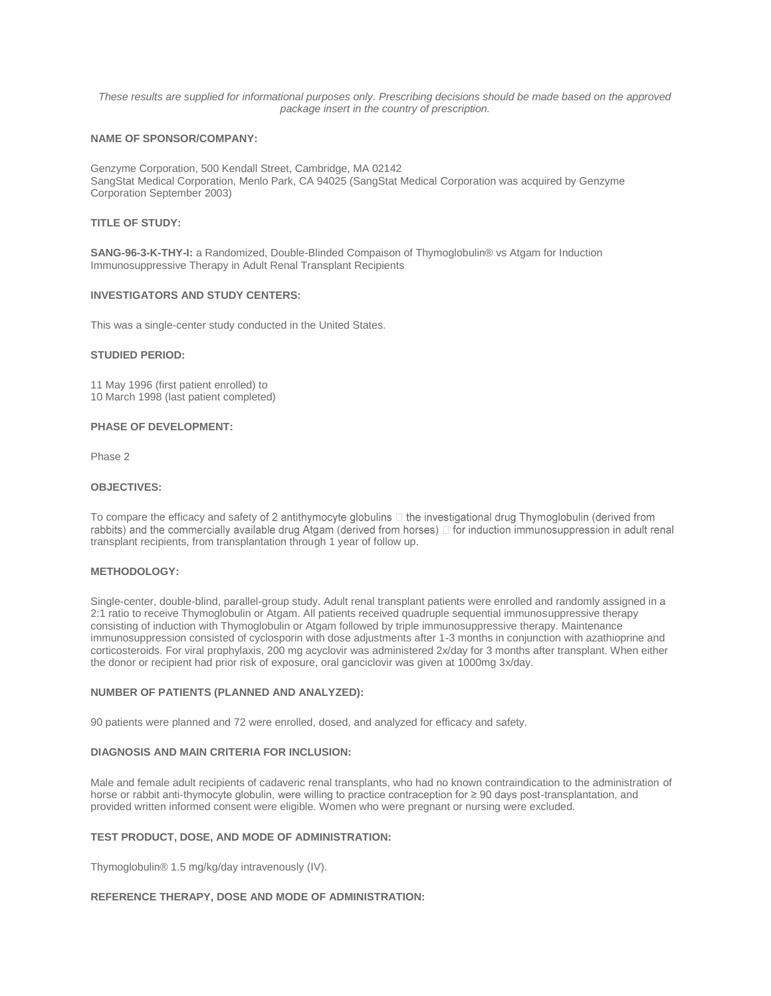*These results are supplied for informational purposes only. Prescribing decisions should be made based on the approved package insert in the country of prescription.*

# **NAME OF SPONSOR/COMPANY:**

Genzyme Corporation, 500 Kendall Street, Cambridge, MA 02142 SangStat Medical Corporation, Menlo Park, CA 94025 (SangStat Medical Corporation was acquired by Genzyme Corporation September 2003)

## **TITLE OF STUDY:**

**SANG-96-3-K-THY-I:** a Randomized, Double-Blinded Compaison of Thymoglobulin® vs Atgam for Induction Immunosuppressive Therapy in Adult Renal Transplant Recipients

#### **INVESTIGATORS AND STUDY CENTERS:**

This was a single-center study conducted in the United States.

#### **STUDIED PERIOD:**

11 May 1996 (first patient enrolled) to 10 March 1998 (last patient completed)

## **PHASE OF DEVELOPMENT:**

Phase 2

# **OBJECTIVES:**

To compare the efficacy and safety of 2 antithymocyte globulins  $\Box$  the investigational drug Thymoglobulin (derived from<br>rabbits) and the commercially available drug Atgam (derived from horses)  $\Box$  for induction immunos transplant recipients, from transplantation through 1 year of follow up.

## **METHODOLOGY:**

Single-center, double-blind, parallel-group study. Adult renal transplant patients were enrolled and randomly assigned in a 2:1 ratio to receive Thymoglobulin or Atgam. All patients received quadruple sequential immunosuppressive therapy consisting of induction with Thymoglobulin or Atgam followed by triple immunosuppressive therapy. Maintenance immunosuppression consisted of cyclosporin with dose adjustments after 1-3 months in conjunction with azathioprine and corticosteroids. For viral prophylaxis, 200 mg acyclovir was administered 2x/day for 3 months after transplant. When either the donor or recipient had prior risk of exposure, oral ganciclovir was given at 1000mg 3x/day.

## **NUMBER OF PATIENTS (PLANNED AND ANALYZED):**

90 patients were planned and 72 were enrolled, dosed, and analyzed for efficacy and safety.

#### **DIAGNOSIS AND MAIN CRITERIA FOR INCLUSION:**

Male and female adult recipients of cadaveric renal transplants, who had no known contraindication to the administration of horse or rabbit anti-thymocyte globulin, were willing to practice contraception for ≥ 90 days post-transplantation, and provided written informed consent were eligible. Women who were pregnant or nursing were excluded.

#### **TEST PRODUCT, DOSE, AND MODE OF ADMINISTRATION:**

Thymoglobulin® 1.5 mg/kg/day intravenously (IV).

# **REFERENCE THERAPY, DOSE AND MODE OF ADMINISTRATION:**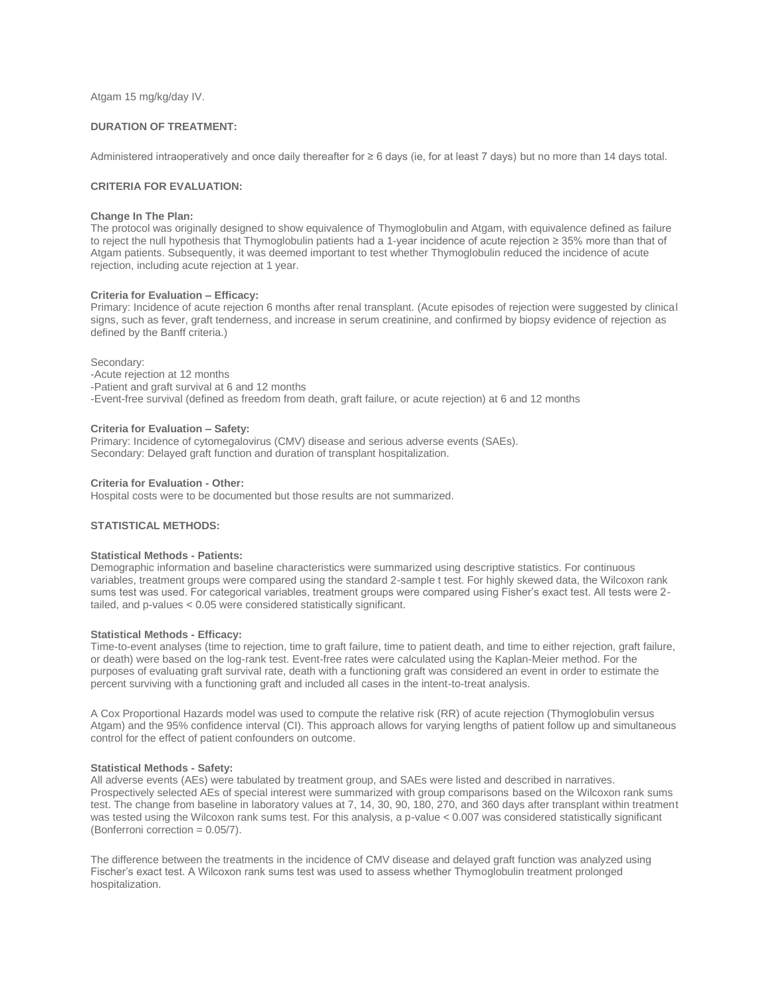Atgam 15 mg/kg/day IV.

# **DURATION OF TREATMENT:**

Administered intraoperatively and once daily thereafter for ≥ 6 days (ie, for at least 7 days) but no more than 14 days total.

## **CRITERIA FOR EVALUATION:**

#### **Change In The Plan:**

The protocol was originally designed to show equivalence of Thymoglobulin and Atgam, with equivalence defined as failure to reject the null hypothesis that Thymoglobulin patients had a 1-year incidence of acute rejection ≥ 35% more than that of Atgam patients. Subsequently, it was deemed important to test whether Thymoglobulin reduced the incidence of acute rejection, including acute rejection at 1 year.

#### **Criteria for Evaluation – Efficacy:**

Primary: Incidence of acute rejection 6 months after renal transplant. (Acute episodes of rejection were suggested by clinical signs, such as fever, graft tenderness, and increase in serum creatinine, and confirmed by biopsy evidence of rejection as defined by the Banff criteria.)

Secondary:

-Acute rejection at 12 months -Patient and graft survival at 6 and 12 months -Event-free survival (defined as freedom from death, graft failure, or acute rejection) at 6 and 12 months

### **Criteria for Evaluation – Safety:**

Primary: Incidence of cytomegalovirus (CMV) disease and serious adverse events (SAEs). Secondary: Delayed graft function and duration of transplant hospitalization.

## **Criteria for Evaluation - Other:**

Hospital costs were to be documented but those results are not summarized.

# **STATISTICAL METHODS:**

## **Statistical Methods - Patients:**

Demographic information and baseline characteristics were summarized using descriptive statistics. For continuous variables, treatment groups were compared using the standard 2-sample t test. For highly skewed data, the Wilcoxon rank sums test was used. For categorical variables, treatment groups were compared using Fisher's exact test. All tests were 2 tailed, and p-values < 0.05 were considered statistically significant.

## **Statistical Methods - Efficacy:**

Time-to-event analyses (time to rejection, time to graft failure, time to patient death, and time to either rejection, graft failure, or death) were based on the log-rank test. Event-free rates were calculated using the Kaplan-Meier method. For the purposes of evaluating graft survival rate, death with a functioning graft was considered an event in order to estimate the percent surviving with a functioning graft and included all cases in the intent-to-treat analysis.

A Cox Proportional Hazards model was used to compute the relative risk (RR) of acute rejection (Thymoglobulin versus Atgam) and the 95% confidence interval (CI). This approach allows for varying lengths of patient follow up and simultaneous control for the effect of patient confounders on outcome.

## **Statistical Methods - Safety:**

All adverse events (AEs) were tabulated by treatment group, and SAEs were listed and described in narratives. Prospectively selected AEs of special interest were summarized with group comparisons based on the Wilcoxon rank sums test. The change from baseline in laboratory values at 7, 14, 30, 90, 180, 270, and 360 days after transplant within treatment was tested using the Wilcoxon rank sums test. For this analysis, a p-value < 0.007 was considered statistically significant (Bonferroni correction = 0.05/7).

The difference between the treatments in the incidence of CMV disease and delayed graft function was analyzed using Fischer's exact test. A Wilcoxon rank sums test was used to assess whether Thymoglobulin treatment prolonged hospitalization.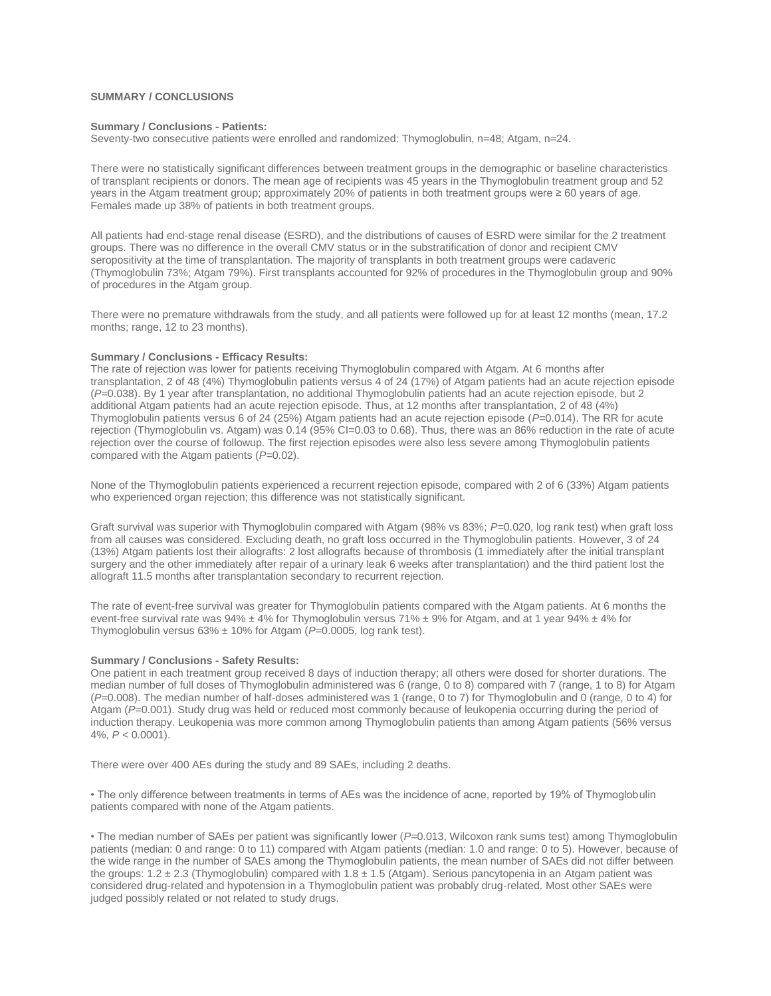## **SUMMARY / CONCLUSIONS**

## **Summary / Conclusions - Patients:**

Seventy-two consecutive patients were enrolled and randomized: Thymoglobulin, n=48; Atgam, n=24.

There were no statistically significant differences between treatment groups in the demographic or baseline characteristics of transplant recipients or donors. The mean age of recipients was 45 years in the Thymoglobulin treatment group and 52 years in the Atgam treatment group; approximately 20% of patients in both treatment groups were ≥ 60 years of age. Females made up 38% of patients in both treatment groups.

All patients had end-stage renal disease (ESRD), and the distributions of causes of ESRD were similar for the 2 treatment groups. There was no difference in the overall CMV status or in the substratification of donor and recipient CMV seropositivity at the time of transplantation. The majority of transplants in both treatment groups were cadaveric (Thymoglobulin 73%; Atgam 79%). First transplants accounted for 92% of procedures in the Thymoglobulin group and 90% of procedures in the Atgam group.

There were no premature withdrawals from the study, and all patients were followed up for at least 12 months (mean, 17.2 months; range, 12 to 23 months).

#### **Summary / Conclusions - Efficacy Results:**

The rate of rejection was lower for patients receiving Thymoglobulin compared with Atgam. At 6 months after transplantation, 2 of 48 (4%) Thymoglobulin patients versus 4 of 24 (17%) of Atgam patients had an acute rejection episode (*P=*0.038). By 1 year after transplantation, no additional Thymoglobulin patients had an acute rejection episode, but 2 additional Atgam patients had an acute rejection episode. Thus, at 12 months after transplantation, 2 of 48 (4%) Thymoglobulin patients versus 6 of 24 (25%) Atgam patients had an acute rejection episode (*P=*0.014). The RR for acute rejection (Thymoglobulin vs. Atgam) was 0.14 (95% CI=0.03 to 0.68). Thus, there was an 86% reduction in the rate of acute rejection over the course of followup. The first rejection episodes were also less severe among Thymoglobulin patients compared with the Atgam patients (*P=*0.02).

None of the Thymoglobulin patients experienced a recurrent rejection episode, compared with 2 of 6 (33%) Atgam patients who experienced organ rejection; this difference was not statistically significant.

Graft survival was superior with Thymoglobulin compared with Atgam (98% vs 83%; *P=*0.020, log rank test) when graft loss from all causes was considered. Excluding death, no graft loss occurred in the Thymoglobulin patients. However, 3 of 24 (13%) Atgam patients lost their allografts: 2 lost allografts because of thrombosis (1 immediately after the initial transplant surgery and the other immediately after repair of a urinary leak 6 weeks after transplantation) and the third patient lost the allograft 11.5 months after transplantation secondary to recurrent rejection.

The rate of event-free survival was greater for Thymoglobulin patients compared with the Atgam patients. At 6 months the event-free survival rate was  $94\% \pm 4\%$  for Thymoglobulin versus 71%  $\pm 9\%$  for Atgam, and at 1 year  $94\% \pm 4\%$  for Thymoglobulin versus 63% ± 10% for Atgam (*P=*0.0005, log rank test).

#### **Summary / Conclusions - Safety Results:**

One patient in each treatment group received 8 days of induction therapy; all others were dosed for shorter durations. The median number of full doses of Thymoglobulin administered was 6 (range, 0 to 8) compared with 7 (range, 1 to 8) for Atgam (*P=*0.008). The median number of half-doses administered was 1 (range, 0 to 7) for Thymoglobulin and 0 (range, 0 to 4) for Atgam (*P=*0.001). Study drug was held or reduced most commonly because of leukopenia occurring during the period of induction therapy. Leukopenia was more common among Thymoglobulin patients than among Atgam patients (56% versus 4%, *P <* 0.0001).

There were over 400 AEs during the study and 89 SAEs, including 2 deaths.

• The only difference between treatments in terms of AEs was the incidence of acne, reported by 19% of Thymoglobulin patients compared with none of the Atgam patients.

• The median number of SAEs per patient was significantly lower (*P=*0.013, Wilcoxon rank sums test) among Thymoglobulin patients (median: 0 and range: 0 to 11) compared with Atgam patients (median: 1.0 and range: 0 to 5). However, because of the wide range in the number of SAEs among the Thymoglobulin patients, the mean number of SAEs did not differ between the groups:  $1.2 \pm 2.3$  (Thymoglobulin) compared with  $1.8 \pm 1.5$  (Atgam). Serious pancytopenia in an Atgam patient was considered drug-related and hypotension in a Thymoglobulin patient was probably drug-related. Most other SAEs were judged possibly related or not related to study drugs.